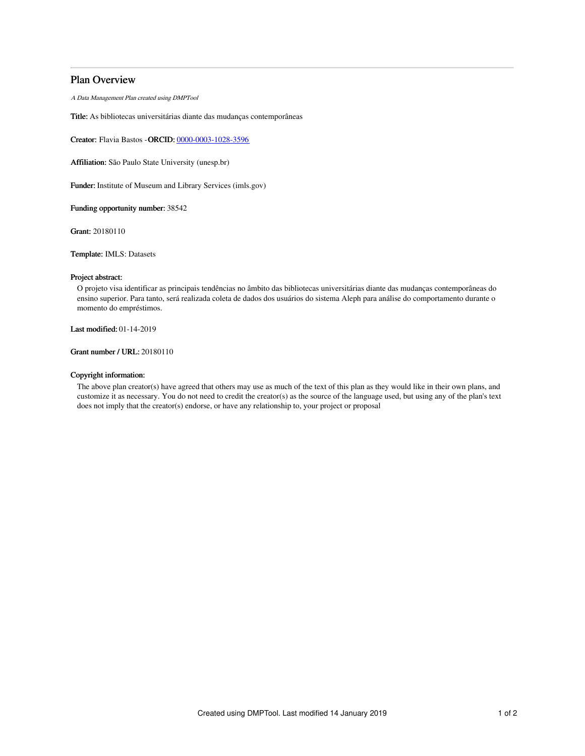# Plan Overview

A Data Management Plan created using DMPTool

Title: As bibliotecas universitárias diante das mudanças contemporâneas

Creator: Flavia Bastos -ORCID: [0000-0003-1028-3596](https://orcid.org/0000-0003-1028-3596)

Affiliation: São Paulo State University (unesp.br)

Funder: Institute of Museum and Library Services (imls.gov)

Funding opportunity number: 38542

Grant: 20180110

Template: IMLS: Datasets

### Project abstract:

O projeto visa identificar as principais tendências no âmbito das bibliotecas universitárias diante das mudanças contemporâneas do ensino superior. Para tanto, será realizada coleta de dados dos usuários do sistema Aleph para análise do comportamento durante o momento do empréstimos.

Last modified: 01-14-2019

Grant number / URL: 20180110

#### Copyright information:

The above plan creator(s) have agreed that others may use as much of the text of this plan as they would like in their own plans, and customize it as necessary. You do not need to credit the creator(s) as the source of the language used, but using any of the plan's text does not imply that the creator(s) endorse, or have any relationship to, your project or proposal